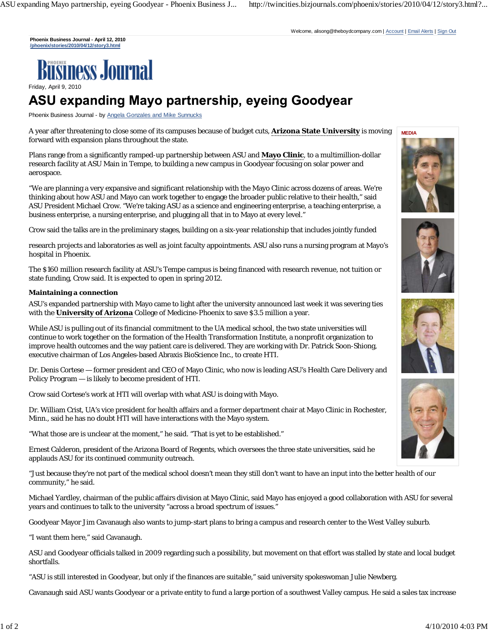**Phoenix Business Journal - April 12, 2010 /phoenix/stories/2010/04/12/story3.html**



Friday, April 9, 2010

## ASU expanding Mayo partnership, eyeing Goodyear

Phoenix Business Journal - by Angela Gonzales and Mike Sunnucks

A year after threatening to close some of its campuses because of budget cuts, **Arizona State University** is moving forward with expansion plans throughout the state.

Plans range from a significantly ramped-up partnership between ASU and **Mayo Clinic**, to a multimillion-dollar research facility at ASU Main in Tempe, to building a new campus in Goodyear focusing on solar power and aerospace.

"We are planning a very expansive and significant relationship with the Mayo Clinic across dozens of areas. We're thinking about how ASU and Mayo can work together to engage the broader public relative to their health," said ASU President Michael Crow. "We're taking ASU as a science and engineering enterprise, a teaching enterprise, a business enterprise, a nursing enterprise, and plugging all that in to Mayo at every level."

Crow said the talks are in the preliminary stages, building on a six-year relationship that includes jointly funded

research projects and laboratories as well as joint faculty appointments. ASU also runs a nursing program at Mayo's hospital in Phoenix.

The \$160 million research facility at ASU's Tempe campus is being financed with research revenue, not tuition or state funding, Crow said. It is expected to open in spring 2012.

## **Maintaining a connection**

ASU's expanded partnership with Mayo came to light after the university announced last week it was severing ties with the **University of Arizona** College of Medicine-Phoenix to save \$3.5 million a year.

While ASU is pulling out of its financial commitment to the UA medical school, the two state universities will continue to work together on the formation of the Health Transformation Institute, a nonprofit organization to improve health outcomes and the way patient care is delivered. They are working with Dr. Patrick Soon-Shiong, executive chairman of Los Angeles-based Abraxis BioScience Inc., to create HTI.

Dr. Denis Cortese — former president and CEO of Mayo Clinic, who now is leading ASU's Health Care Delivery and Policy Program — is likely to become president of HTI.

Crow said Cortese's work at HTI will overlap with what ASU is doing with Mayo.

Dr. William Crist, UA's vice president for health affairs and a former department chair at Mayo Clinic in Rochester, Minn., said he has no doubt HTI will have interactions with the Mayo system.

"What those are is unclear at the moment," he said. "That is yet to be established."

Ernest Calderon, president of the Arizona Board of Regents, which oversees the three state universities, said he applauds ASU for its continued community outreach.

"Just because they're not part of the medical school doesn't mean they still don't want to have an input into the better health of our community," he said.

Michael Yardley, chairman of the public affairs division at Mayo Clinic, said Mayo has enjoyed a good collaboration with ASU for several years and continues to talk to the university "across a broad spectrum of issues."

Goodyear Mayor Jim Cavanaugh also wants to jump-start plans to bring a campus and research center to the West Valley suburb.

"I want them here," said Cavanaugh.

ASU and Goodyear officials talked in 2009 regarding such a possibility, but movement on that effort was stalled by state and local budget shortfalls.

"ASU is still interested in Goodyear, but only if the finances are suitable," said university spokeswoman Julie Newberg.

Cavanaugh said ASU wants Goodyear or a private entity to fund a large portion of a southwest Valley campus. He said a sales tax increase